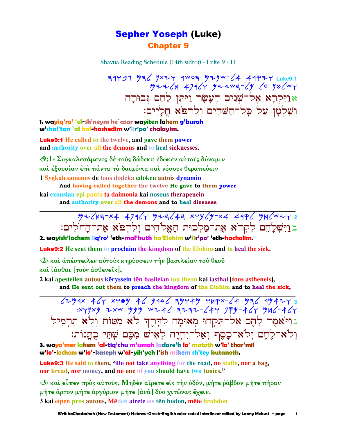### **Sepher Yoseph (Luke) Chapter 9**

Shavua Reading Schedule (14th sidrot) - Luke 9 - 11

39491 936 9x24 9woa 9zyw-64 49924 Luke9:1<br>394 96 96 1/2=204 97464 97464 9746 אַרַיִּקְרָא אָל<sup>ְ–</sup>שָׁנִים הֶעָשָׂר וַיִּתְּן לַהֵם גִּבוּרָה וִשָׁלְטָן עַל כָל־הַשֵּׁדִים וְלְרִפֹּא חֲלַיִים:

1. wayiq'ra' 'el-sh'neym he`asar wayiten lahem g'burah w'shal'tan`al kal-hashedim w'lir'po' chalavim.

**Luke9:1** He called to the twelve, and gave them power and authority over all the demons and to heal sicknesses.

 $\langle 9:1 \rangle$  Συγκαλεσάμενος δέ τους δώδεκα έδωκεν αυτοίς δύναμιν και έξουσίαν έπι πάντα τα δαιμόνια και νόσους θεραπεύειν 1 Sygkalesamenos de tous dōdeka edōken autois dynamin

And having called together the twelve He gave to them power kai exousian epi panta ta daimonia kai nosous therapeuein

and authority over all the demons and to heal diseases

בויִשְׁלַחֶם לִקְרֹא אֶת־מַלְכוּת הַאֱלֹהִים וְלִרְפֹּא אֶת־הַחֹלִים:

2. wayish'lachem lig'ro' 'eth-mal'kuth ha'Elohim w'lir'po' 'eth-hacholim.

**Luke9:2** He sent them to proclaim the kingdom of the Elohim and to heal the sick.

<2> και άπέστειλεν αύτους κηρύσσειν την βασιλείαν του θεου και ιασθαι [τους άσθενεις],

2 kai apesteilen autous kēryssein tēn basileian tou theou kai iasthai [tous astheneis], and He sent out them to preach the kingdom of the Elohim and to heal the sick,

 $274$   $424$   $429$   $89$   $42$   $942$   $9474$   $149x-24$   $992$   $9947$ :xyyxy =xw yyy w= +6 = 2+= -644 7 = 464 yu6- +64 גוַיֹּאמֶר לָהֶם אַל־תִּקְחוּ מִאוּמָה לַדָּרֶךְ לֹא מַטּוֹת וְלֹא תַרִמְיל וִלֹא־לֵחֵם וְלֹא־כָסֵף וְאַל־יִהְיֵה לְאִישׁ מִכֵּם שִׁתֵּי כָתֲנוֹת:

3. wayo'mer lahem 'al-tiq'chu m'umah ladare'k lo' matoth w'lo' thar'mil w'lo'-lechem w'lo'-kaseph w'al-yih'yeh l'ish mikem sh'tey kutanoth.

Luke9:3 He said to them, "Do not take anything for the road, no staffs, nor a bag, nor bread, nor money, and no one of you should have two tunics."

 $\langle 3 \rangle$  και είπεν προς αυτούς, Μηδεν αίρετε είς την οδόν, μήτε ράβδον μήτε πήραν μήτε άρτον μήτε άργύριον μήτε [άνὰ] δύο χιτῶνας ἔχειν. 3 kai eipen pros autous, Mēden airete eis tēn hodon, mēte hrabdon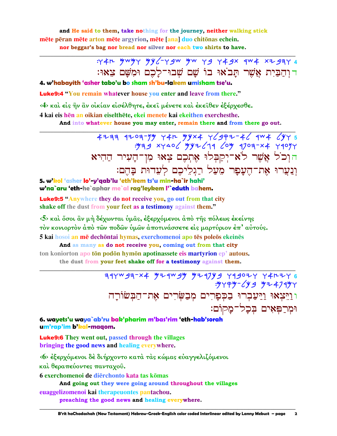and He said to them, take nothing for the journey, neither walking stick mēte pēran mēte arton mēte argyrion, mēte [ana] duo chitōnas echein. nor beggar's bag nor bread nor silver nor each two shirts to have.

> : 4th mwmy my /- y gw mw y g y 4 gx qw 4 x 2 g 3 y דוִהַבַּיָת אֱשֶׁר תַּבֹאוּ בוֹ שַׁם שִׁבוּ־לַכֶם וּמִשַּׁם צֵאוּ:

4. w'habavith 'asher tabo'u bo sham sh'bu-lakem umisham tse'u.

**Luke9:4** "You remain whatever house you enter and leave from there."

<4> και είς ήν ἂν οικίαν εισέλθητε, εκει μένετε και εκειθεν εξέρχεσθε.

4 kai eis hēn an oikian eiselthēte, ekei menete kai ekeithen exerchesthe.

And into whatever house you may enter, remain there and from there go out.

 $+777$  1709-79 74m 99x4 76997-46 944 6975 הוְכֹל אֲשֶׁר לֹא־יְקַבְּלוּ אֶתְכֶם צְאוּ מִן־הָעִיר הַהִיא וְנַעֲרוּ אֶת־הֵעֲפָר מֶעֲל רַגְלֵיכֶם לְעֶדוּת בַּהֵם:

5. w'kol 'asher lo'-y'qab'lu 'eth'kem ts'u min-ha`ir hahi' w'na`aru 'eth-he`aphar me`al rag'leykem l'`eduth bahem.

**Luke9:5** "Anywhere they do not receive you, go out from that city shake off the dust from your feet as a testimony against them."

<5> και ὄσοι ἂν μή δέχωνται ὑμᾶς, έξερχόμενοι ἀπὸ τῆς πόλεως ἐκείνης τόν κονιορτόν άπό των ποδων ύμων άποτινάσσετε είς μαρτύριον έπ' αύτούς. 5 kai hosoi an mē dechōntai hymas, exerchomenoi apo tēs poleōs ekeinēs

And as many as do not receive you, coming out from that city ton koniorton apo tōn podōn hymōn apotinassete eis martyrion ep' autous. the dust from your feet shake off for a testimony against them.

> 314w93-x4 y21w9y y217y9 419024 44224 6  $.9799 - 699$   $974799$ וּוַיִּצְאוּ וַיַּעֲבְרוּ בַכִּפַרִים מִבְשַׂרִים אֶת־הַבְּשׂוֹרַה וּמִרַפִּאִים בִּכֲל־מַקוֹם:

6. wayets'u waya`ab'ru bak'pharim m'bas'rim 'eth-hab'sorah um'rap'im b'kal-magom.

**Luke9:6** They went out, passed through the villages bringing the good news and healing everywhere.

<6> έξερχόμενοι δε διήρχοντο κατά τας κώμας ευαγγελιζόμενοι καί θεραπεύοντες πανταχού.

6 exerchomenoi de dierchonto kata tas komas

And going out they were going around throughout the villages

euaggelizomenoi kai therapeuontes pantachou.

preaching the good news and healing everywhere.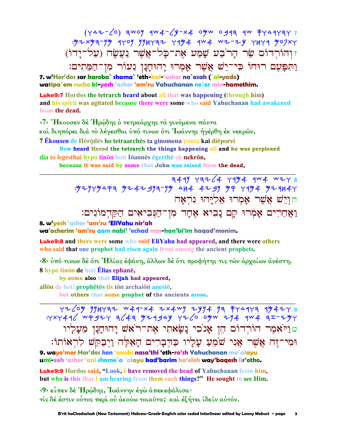$(447-\sqrt{0})$  awoy  $4w+2y-x+0yw$  0913 4w FY44YAY7 זוְהוֹרְדוֹס שַׂר הָר<sup>ֹ</sup>בַע שָׁמַע אֶת־כָּל־אֲשֶׁר נַעֲשָׂה (עַל־יָדוֹ) וַתִּפַּעֵם רוּחוֹ כִּי־יֵשׁ אֲשֶׁר אָמְרוּ יַחוּחָנָן נִעוֹר מִן־הַמֵּתִים:

7. w'Hor'dos sar haroba` shama` 'eth-kal-'asher na`asah (`al-yado) watipa`em rucho ki-yesh 'asher 'am'ru Yahuchanan ne`or min-hamethim.

**Luke9:7** Hordos the tetrarch heard about all that was happening (through him) and his spirit was agitated because there were some who said Yahuchanan had awakened from the dead.

<7> "Ηκουσεν δέ Ηρώδης ο τετραάρχης τα γινόμενα πάντα

και διηπόρει διά το λέγεσθαι ύπό τινων ότι Ιωάννης ήγέρθη έκ νεκρών,

7 Ekousen de Hērōdēs ho tetraarchēs ta ginomena panta kai diēporei

Now heard Herod the tetrarch the things happening all and he was perplexed dia to legesthai hypo tinon hoti Ioannes egerthe ek nekron,

because it was said by some that John was raised from the dead,

 $744$   $77764$   $7444$   $744$   $744$   $7478$ : 92979493 9242993-99 484 4299 99 7994 929847 חוִיֵשׁ אֲשֶׁר אָמְרוּ אָלְיַחוּ נִרְאַה

וַאֲחֶרִים אַמְרוּ קַם נַבִיא אָחֲד מִן־הַנִּבִיאִים הַקַּדְמוֹנִים:

### 8. w'yesh 'asher 'am'ru 'EliYahu nir'ah

wa'acherim 'am'ru gam nabi' 'echad min-han'bi'im hagad'monim.

**Luke9:8** and there were some who said EliYahu had appeared, and there were others who said that one prophet had risen again from among the ancient prophets.

<8> ύπό τινων δέ ότι 'Ηλίας έφάνη, άλλων δέ ότι προφήτης τις των άρχαίων ανέστη. 8 hypo tinon de hoti Elias ephane,

by some also that Elijah had appeared,

allon de hoti prophetes tis ton archaion aneste.

but others that some prophet of the ancients arose.

72/09 994777 X4 2x4w9 2994 97 774977 97444 4444 97444<br>4477 974 444 444 444 974 9749 444 7444 7444 974 טוַיֹּאמֶר הוֹרְדוֹס הֵן אָנֹכִי נַשָׂאתִי אֵת־רֹאשׁ יַהוּחָנָן מִעַלַיו וּמִי־זֶה אֲשֶׁר אֲנִי שֹׁמֵעֲ עָלָיו כַּהִבָרִים הָאֵלֶּה וַיִּבַקֵּשׁ לְרִאוֹתוֹ:

9. wayo'mer Hor'dos hen 'anoki nasa'thi 'eth-ro'sh Yahuchanan me`alayu umi-zeh 'asher 'ani shome`a `alayu kad'barim ha'eleh way'baqesh lir'otho.

**Luke9:9** Hordos said, "Look, I have removed the head of Yahuchanan from him. but who is this that I am hearing from them such things?" He sought to see Him.

<9> είπεν δέ Ήρώδης, Ιωάννην έγω απεκεφάλισα· τίς δέ έστιν ούτος περί ού άκούω τοιαύτα; και έζήτει ίδειν αύτόν.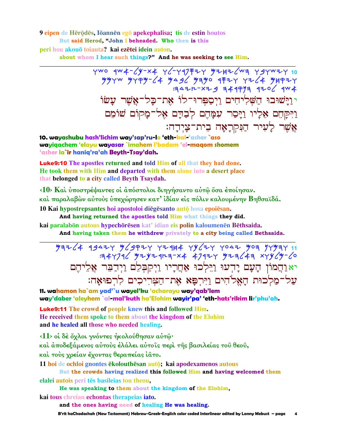9 eipen de Hērōdēs, Iōannēn egō apekephalisa; tis de estin houtos But said Herod. "John I beheaded. Who then is this

peri hou akouō toiauta? kai ezētei idein auton.

about whom I hear such things?" And he was seeking to see Him.

7wo 4w4-64-x4 Y6-Y97 F2Y 42H26W3 Y9YWZY 10  $7997W$   $9999C4$   $996$   $9990$   $9990$   $9971$   $72C4$   $99977$  $3447 - x + 9$  344973 420 / 4W4 יוַיֹּשׁוּבוּ חַשִּׁלִיחִים וַיִסְפִּרוּ־לוֹ אָת־כַל־אֲשֶׁר עֲשׂוֹ וַיִּקַחֶם אֶלַיו וַיַּסֵר עִמֲהֶם לִבָדֵם אֶל־מַקוֹם שׁוֹמֶם אֲשֶׁר לַעִיר הַנִּקְרָאָה בִית־צַיִדָה:

10. wayashubu hash'lichim way'sap'ru-lo 'eth-kal-'asher `aso wayiqachem 'elayu wayasar `imahem l'badam 'el-maqom shomem 'asher la`ir haniq'ra'ah Beyth-Tsay'dah.

**Luke9:10** The apostles returned and told Him of all that they had done. He took them with Him and departed with them alone into a desert place that belonged to a city called Beyth Tsaydah.

<10> Και υποστρέψαντες οι απόστολοι διηγήσαντο αυτώ όσα εποίησαν. καὶ παραλαβὼν αὐτοὺς ὑπεχώρησεν κατ' ἰδίαν εἰς πόλιν καλουμένην Βηθσαϊδά. 10 Kai hypostrepsantes hoi apostoloi diegesanto auto hosa epoiesan.

And having returned the apostles told Him what things they did.

kai paralabon autous hypechoresen kat' idian eis polin kaloumenen Bethsaida.

And having taken them he withdrew privately to a city being called Bethsaida.

 $79724$  43424 54974 72144 7942 7042 509 77597  $747746$   $747974777777$   $747977$   $7776$ יאַוַהֲמוֹן הָעָם יָדִעוּ וַיֵּלְכוּ אַחֲרָיו וַיִקַבְּלֶם וַיִּדַבֵּר אֲלֵיהֵם על־מַלְכוּת הַאֱלֹהִים וַיִּרְפָּא אֶת־הַצִּרִיכִים לְרְפוּאָה:

11. wahamon ha`am yad'`u wayel'ku 'acharayu way'qab'lem way'daber 'aleyhem `al-mal'kuth ha'Elohim wayir'pa' 'eth-hats'rikim lir'phu'ah.

**Luke9:11** The crowd of people knew this and followed Him. He received them spoke to them about the kingdom of the Elohim and he healed all those who needed healing.

 $\langle 11 \rangle$  οι δέ όχλοι γνόντες ήκολούθησαν αυτώ·

και άποδεξάμενος αύτους έλάλει αύτοις περι της βασιλείας του θεου,

καί τους χρείαν έχοντας θεραπείας ίατο.

11 hoi de ochloi gnontes ēkolouthēsan autō; kai apodexamenos autous

But the crowds having realized this followed Him and having welcomed them

elalei autois peri tēs basileias tou theou,

He was speaking to them about the kingdom of the Elohim,

kai tous chreian echontas therapeias iato.

and the ones having need of healing He was healing.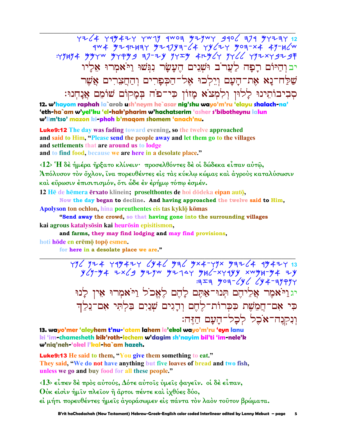4264 449424 4499 4404 42444 4406 374 4424 12 :49H94 yy4w y44yg =7-2y y4=y 4ry (4 y4 / 4y2x4 g2 g יבוהיום רפה לערב ושנים העשר נגשו ויאמרו אליו שַׁלַח־נָא אֶת־הָעָם וְיֵלְכוּ אֶל־הַכִּפְרִים וְהַחֲצֵרִים אֲשֶׁר סִבִיבוֹתֵינוּ לָלוּן וִלְמְצֹא מָזוֹן כִּי־פֹה בִּמְקוֹם שׁוֹמֵם אֲנָחִנוּ:

12. w'hayom raphah la`arob ush'neym he`asar nig'shu wayo'm'ru 'elayu shalach-na' 'eth-<mark>ha`am w'yel'ku 'el-hak'pharim w'hachatserim 'asher s'bibotheynu lalun</mark> w'lim'tso' mazon ki-phoh b'magom shomem 'anach'nu.

**Luke9:12** The day was fading toward evening, so the twelve approached and said to Him, "Please send the people away and let them go to the villages and settlements that are around us to lodge and to find food, because we are here in a desolate place."

<12> Ή δε ήμέρα ήρξατο κλίνειν· προσελθόντες δε οι δώδεκα είπαν αύτω, Άπόλυσον τον όχλον, ίνα πορευθέντες είς τας κύκλω κώμας και άγρους καταλύσωσιν καὶ εὕρωσιν ἐπισιτισμόν, ὅτι ὦδε ἐν ἐρήμω τόπω ἐσμέν.

12 He de hemera erxato klinein; proselthontes de hoi dodeka eipan auto,

Now the day began to decline. And having approached the twelve said to Him, Apolyson ton ochlon, hina poreuthentes eis tas kyklō kōmas

"Send away the crowd, so that having gone into the surrounding villages kai agrous katalysosin kai heurosin episitismon,

and farms, they may find lodging and may find provisions,

hoti hode en erēmo topo esmen.

for here in a desolate place we are."

 $3779$   $4997$ יגוַיֹּאמֶר אֲלִיהֶם תְּנוּ־אַתֶּם לָהֶם לֵאֱכֹל וַיֹּאמִרוּ אֵין לַנוּ כִּי אָם־הֲמָשֶׁת כִּכְרוֹת־לֵחֵם וְדָגִים שָׁנַיִם בִּלְתִּי אָם־נָלֶךְ וִנִקְנָה־אֹכֶל לְכָל־הַעָם הַזֶּה:

13. wayo'mer 'aleyhem t'nu-'atem lahem le'ekol wayo'm'ru 'eyn lanu ki 'im-chamesheth kik'roth-lechem w'dagim sh'nayim bil'ti 'im-nele'k w'nig'neh-'okel l'kal-ha`am hazeh.

**Luke9:13** He said to them, "You give them something to eat." They said, "We do not have anything but five loaves of bread and two fish, unless we go and buy food for all these people."

 $\langle 13 \rangle$  είπεν δέ πρός αύτούς, Δότε αύτοις ύμεις φαγειν. οι δέ είπαν,

Ούκ είσιν ήμιν πλείον ή άρτοι πέντε και ίχθύες δύο,

εί μήτι πορευθέντες ήμεις άγοράσωμεν είς πάντα τον λαόν τουτον βρώματα.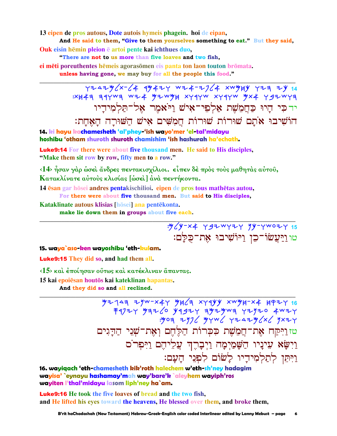13 eipen de pros autous, Dote autois hymeis phagein, hoi de eipan,

And He said to them, "Give to them yourselves something to eat." But they said, Ouk eisin hēmin pleion ē artoi pente kai ichthues duo,

"There are not to us more than five loaves and two fish,

ei mēti poreuthentes hēmeis agorasomen eis panta ton laon touton bromata.

unless having gone, we may buy for all the people this food."

 $Y7247$   $X-74$   $4$   $4$   $472$   $Y$   $X-7$   $X-7$   $X-7$   $X-7$   $X-7$   $X-7$   $X-7$   $X-7$   $X-7$   $X-7$   $X-7$   $X-7$   $X-7$   $X-7$   $X-7$   $X-7$   $X-7$   $X-7$   $X-7$   $X-7$   $X-7$   $X-7$   $X-7$   $X-7$   $X-7$   $X-7$   $X-7$   $X-7$   $X-7$   $X-7$   $X-7$   $X$ :XH4A A4YWA WZ4 YZWYH XY4YW XY4YW YX4 Y9ZWYA ידכי הַיוּ כַּחֲמֵשֶׁת אַלְפִי־אִישׁ וַיֹּאמֶר אָל־תַּלְמִידָיו הוֹשִׁיבוּ אֹתָם שוּרוֹת שוּרוֹת חֲמַשִּׁים אָישׁ הַשׁוּרַה הַאֲחַת:

14, ki hayu kachamesheth 'al'phey-'ish wayo'mer 'el-tal'midayu hoshibu 'otham shuroth shuroth chamishim 'ish hashurah ha'echath.

**Luke9:14** For there were about five thousand men. He said to His disciples, "Make them sit row by row, fifty men to a row."

<14> ήσαν γάρ ώσει άνδρες πεντακισχίλιοι. είπεν δέ προς τους μαθητάς αύτου, Κατακλίνατε αύτους κλισίας [ώσει] άνα πεντήκοντα.

14 esan gar hosei andres pentakischilioi. eipen de pros tous mathetas autou,

For there were about five thousand men. But said to His disciples,

Kataklinate autous klisias [hōsei] ana pentēkonta.

make lie down them in groups about five each.

טו וַיַּעֲשׂוֹ־כֵן וַיּוֹשִׁיבוּ אֶת־כַלַּם:

#### 15. waya`aso-ken wayoshibu 'eth-kulam.

**Luke9:15** They did so, and had them all.

 $\langle 15 \rangle$  και έποίησαν ούτως και κατέκλιναν άπαντας.

15 kai epoiēsan houtōs kai kateklinan hapantas.

And they did so and all reclined.

 $7243$   $743$   $749$   $744$   $742$   $749$   $749$   $749$   $742$   $749$   $749$   $76$ טזרַיִּקַח אֶת־חֲמָשֶׁת כִּכְרוֹת הַלֵּחֵם וְאָת־שָׁנֵי הַדֵּגִים וַיִּשָׂא עִינָיו הַשָּׁמַיְמָה וַיִּבְרֵךְ עֲלִיהֵם וַיִּפְרֹס וַיִּתְּן לְתַלְמִידֵיו לַשׁוֹם לְפִנֵי הַעֲם:

16. wayiqach 'eth-chamesheth kik'roth halechem w'eth-sh'ney hadagim wayisa' `eynayu hashamay'mah way'bare'k `aleyhem wayiph'ros wayiten l'thal'midayu lasom liph'ney ha`am.

**Luke9:16** He took the five loaves of bread and the two fish, and He lifted his eyes toward the heavens, He blessed over them, and broke them,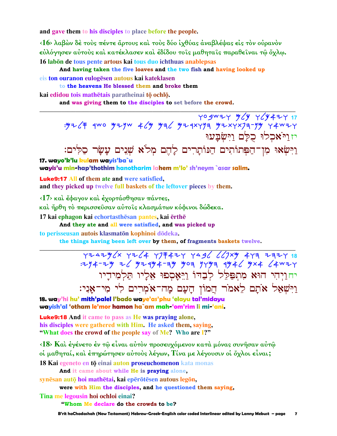and gave them to his disciples to place before the people.

<16> λαβών δέ τούς πέντε άρτους και τους δύο ιχθύας αναβλέψας εις τον ουρανον εὐλόγησεν αὐτοὺς καὶ κατέκλασεν καὶ ἐδίδου τοῖς μαθηταῖς παραθεῖναι τῷ ὄχλῳ. 16 labon de tous pente artous kai tous duo ichthuas anablepsas

And having taken the five loaves and the two fish and having looked up eis ton ouranon eulogēsen autous kai kateklasen

to the heavens He blessed them and broke them

kai edidou tois mathētais paratheinai tō ochlō.

and was giving them to the disciples to set before the crowd.

YO SWIY M (Y) Y (Y4IY 17 : ツマ  $\sqrt{f}$  qwo ツマリw キ ン ツヨ ン ツマ qxrym ツマ xrxym-yy r 4wマ r יזויאכלו כלם וישבעו

וַיִּשְׂאוּ מִן־הַפְּתוֹתִים הַנּוֹתָרִים לָהֶם מְלֹא שָׁנִים עַשַׂר סַלִּים:

17. wayo'k'lu kulam wayis'ba`u wayis'u min-hap'thothim hanotharim lahem m'lo' sh'neym `asar salim.

**Luke9:17 All of them ate and were satisfied,** and they picked up twelve full baskets of the leftover pieces by them.

 $\langle 17 \rangle$  και έφαγον και έγορτάσθησαν πάντες,

και ήρθη το περισσεύσαν αύτοις κλασμάτων κόφινοι δώδεκα.

17 kai ephagon kai echortasthesan pantes, kai erthe

And they ate and all were satisfied, and was picked up to perisseusan autois klasmatōn kophinoi dōdeka.

the things having been left over by them, of fragments baskets twelve.

 $772496x$   $7764$   $77747$   $7996$   $617xy$   $479$   $79747$   $18$ <br> $774 - 79$   $76$   $97494 - 79$   $909$   $9799$   $994$   $9946$   $994$   $64$   $94$ יח<u>ו</u>יְהִי הוּא מִתְפַּלֵל לִבַהוֹ וַיֵּאֲסִפוּ אֲלַיו תַּלִמִידִיו וַיִּשְׁאַל אֹתָם לֵאמֹר הֲמוֹן הָעָם מָה־אֹמְרִים לִי מִי־אָנִי:

18. way'hi hu' mith'palel l'bado waye'as'phu 'elayu tal'midayu wayish'al 'otham le'mor hamon ha`am mah-'om'rim li mi-'ani.

**Luke9:18** And it came to pass as He was praying alone, his disciples were gathered with Him. He asked them, saving, "What does the crowd of the people say of Me? Who are I?"

<18> Και έγένετο έν τω είναι αύτον προσευχόμενον κατά μόνας συνήσαν αύτω οί μαθηταί, και έπηρώτησεν αύτους λέγων, Τίνα με λέγουσιν οι όχλοι είναι;

18 Kai egeneto en tō einai auton proseuchomenon kata monas

And it came about while He is praying alone,

svnēsan autō hoi mathētai, kai epērōtēsen autous legōn,

were with Him the disciples, and he questioned them saying,

Tina me legousin hoi ochloi einai?

"Whom Me declare do the crowds to be?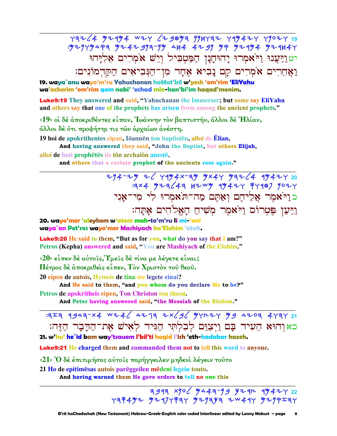Y3Z (4 52454 WZY (23053 774732 745427 77027 19 : 52945494 52442 544-744 444 4449 54444 544444 יט וַיַּעֲנוּ וַיֹּאמְרוּ יָהוּחָנָן הַמַּטְבִיל וְיֵשׁ אֹמִרִים אַלְיַּהוּ וַאֲחֵרִים אֹמִרִים קָם נָבִיא אָחָד מִן־הַנִּבִיאִים הַקַּדְמוֹנִים:

19. waya`anu wayo'm'ru Yahuchanan haMat'bil w'yesh 'om'rim 'EliYahu wa'acherim 'om'rim gam nabi' 'echad min-han'bi'im hagad'monim.

**Luke9:19** They answered and said, "Yahuchanan the Immerser; but some say EliYahu and others say that one of the prophets has arisen from among the ancient prophets."

(19) οι δέ αποκριθέντες είπαν, Ιωάννην τον βαπτιστήν, άλλοι δε Ήλίαν,

άλλοι δέ ότι προφήτης τις των άρχαίων άνέστη.

19 hoi de apokrithentes eipan. Iōannēn ton baptistēn, alloi de Ēlian.

And having answered they said, "John the Baptist, but others Elijah,

alloi de hoti prophetes tis ton archaion aneste.

and others that a certain prophet of the ancients rose again."

כוי אמר אליהם ואתם מה־תאמרו לי מי־אני וַיַּעַן פֵּטְרוֹס וַיֹּאמֶר מִשִׁיחַ הַאֱלֹהִים אַתַּה:

20. wayo'mer 'aleyhem w'atem mah-to'm'ru li mi-'ani waya`an Pet'ros wayo'mer Mashiyach ha'Elohim 'atah.

Luke9:20 He said to them, "But as for you, what do you say that I am?" Petros (Kepha) answered and said, "You are Mashiyach of the Elohim."

 $\langle 20 \rangle$  είπεν δέ αύτοις, Τμεις δέ τίνα με λέγετε είναι;

Πέτρος δέ άποκριθείς είπεν, Τον Χριστον του θεου.

20 eipen de autois, Hymeis de tina me legete einai?

And He said to them, "and you whom do you declare Me to be?"

Petros de apokritheis eipen, Ton Christon tou theou.

And Peter having answered said, "the Messiah of the Elohim."

 $777$  3 4943-X4 WZ46 4273 ZX696 37224 39 4203 4737 21 כאוהוא העיד בם ויצום לבלתי הגיד לאיש את־הדבר הזה: 21. w'hu' he`id bam way'tsauem l'bil'ti hagid l'ish 'eth-hadabar hazeh.

Luke9:21 He charged them and commanded them not to tell this word to anyone.

<21> Ό δέ έπιτιμήσας αύτοις παρήγγειλεν μηδενί λέγειν τούτο

21 Ho de epitimesas autois pareggeilen medeni legein touto.

And having warned them He gave orders to tell no one this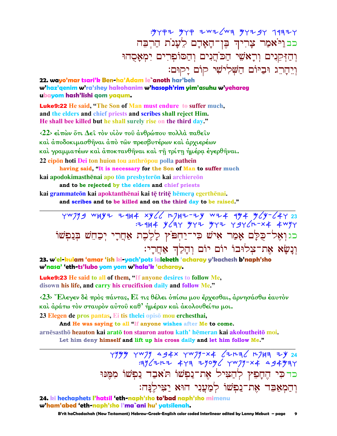$:$  "YP+ Wyp zwz (Wz YY+ SY 1932Y בבני<sup>:</sup>אמר צָרִיךְ בֶּן־הָאָדָם לֵעָנֹת הַרִבֵּה וְהַזִּּקִנִים וְרַאֹשֵׁי הַכ<sup>ּ'</sup>הֲנִים וְהַסּוֹפְרִים יִמְאַסְהוּ וְיֵהָרֶג וּבַיּוֹם הַשָּׁלְיֹשִׁי קוֹם יָקוּם:

**22. wayo'mar tsari'k Ben-ha'Adam le`anoth har'beh w'haz'qenim w'ra'shey hakohanim w'hasoph'rim yim'asuhu w'yehareg ubayom hash'lishi qom yaqum.**

Luke9:22 **He said, "The Son of Man must endure to suffer much, and the elders and chief priests and scribes shall reject Him. He shall bee killed but he shall surely rise on the third day."** 

**‹22› εἰπὼν ὅτι ∆εῖ τὸν υἱὸν τοῦ ἀνθρώπου πολλὰ παθεῖν καὶ ἀποδοκιµασθῆναι ἀπὸ τῶν πρεσβυτέρων καὶ ἀρχιερέων καὶ γραµµατέων καὶ ἀποκτανθῆναι καὶ τῇ τρίτῃ ἡµέρᾳ ἐγερθῆναι. 22 eipon hoti Dei** ton huion tou anthropou polla pathein **having said, "It is necessary for the Son of Man to suffer much**

**kai apodokimasthēnai apo tōn presbyterōn kai archiereōn** 

 **and to be rejected by the elders and chief priests** kai grammateōn kai apoktanthēnai kai tē tritē hēmera egerthēnai.  **and scribes and to be killed and on the third day to be raised."** 

YWJYS WHYZ Z9H4 XY66 HJHZ-ZY WZ4 9Y4 Y6Y-64Y 23 : 144 Y C AY YY 2 Y Y YY C A 2 X X YY כגואָל־כִּלַם אַמַר אִישׁ כִּי־יַחִפּיֹץ לַלֶכֶת אַחֲרֵי יִכְחֵשׁ בִּנַפִשׁוֹ וְנַשֵׂא אֶת־צִלוּבוֹ יוֹם יוֹם וְהַלֵּךְ אָחֲרֵי:

**\_\_\_\_\_\_\_\_\_\_\_\_\_\_\_\_\_\_\_\_\_\_\_\_\_\_\_\_\_\_\_\_\_\_\_\_\_\_\_\_\_\_\_\_\_\_\_\_\_\_\_\_\_\_\_\_\_\_\_\_\_\_\_\_\_\_\_\_\_\_\_\_\_\_\_\_\_\_\_\_\_\_\_\_\_\_\_\_\_\_\_\_\_**

**23. w'el-kulam 'amar 'ish ki-yach'pots laleketh 'acharay y'kachesh b'naph'sho w'nasa' 'eth-ts'lubo yom yom w'hala'k 'acharay.**

Luke9:23 **He said to all of them, "If anyone desires to follow Me, disown his life, and carry his crucifixion daily and follow Me."** 

**‹23› Ἔλεγεν δὲ πρὸς πάντας, Εἴ τις θέλει ὀπίσω µου ἔρχεσθαι, ἀρνησάσθω ἑαυτὸν καὶ ἀράτω τὸν σταυρὸν αὐτοῦ καθ' ἡµέραν καὶ ἀκολουθείτω µοι. 23 Elegen de pros pantas, Ei tis thelei opis mou erchesthai,** 

 **And He was saying to all "If anyone wishes after Me to come.** 

**arnēsasthō heauton kai aratō ton stauron autou kath' hēmeran kai akoloutheitō moi. Let him deny himself and lift up his cross daily and let him follow Me."** 

**\_\_\_\_\_\_\_\_\_\_\_\_\_\_\_\_\_\_\_\_\_\_\_\_\_\_\_\_\_\_\_\_\_\_\_\_\_\_\_\_\_\_\_\_\_\_\_\_\_\_\_\_\_\_\_\_\_\_\_\_\_\_\_\_\_\_\_\_\_\_\_\_\_\_\_\_\_\_\_\_\_\_\_\_\_\_\_\_\_\_\_\_\_**

**TYYY TWIY ag4x TWIY-X4 62H36 HIH3 7Y 24**  $:4y$   $(7+7+7+7)$   $(100y)$   $(100y-x+7)$   $(100y-x+7)$ בד כִּי הֵחֲפֵץ לְהַצִּיל אֶת־נַפְשׁוֹ תֹאַבַד נַפְשׁוֹ מִמֵּנּוּ :†יהַמאַבֶּד אָת־נַפְשׁוֹ לְמַעֲנִי הוּא יַצִּילֶנַה

**24. ki hechaphets l'hatsil 'eth-naph'sho to'bad naph'sho mimenu w'ham'abed 'eth-naph'sho l'ma`ani hu' yatsilenah.**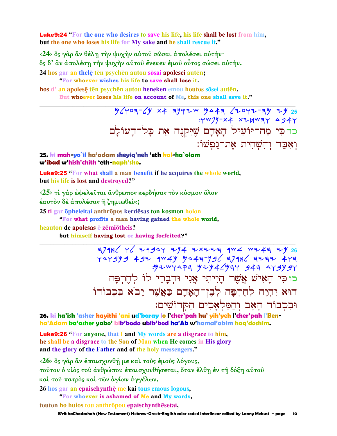**Luke9:24** "For the one who desires to save his life, his life shall be lost from him. but the one who loses his life for My sake and he shall rescue it."

<24> δς γάρ ἂν θέλη την ψυχήν αύτου σώσαι άπολέσει αυτήν· δς δ' αν απολέση την ψυχήν αύτου ένεκεν έμου ούτος σώσει αυτήν. 24 hos gar an thele ten psychen autou sosai apolesei auten;

"For whoever wishes his life to save shall lose it.

hos d'an apolese ten psychen autou heneken emou houtos sosei auten. But whoever loses his life on account of Me, this one shall save it."

> $y$   $/y$   $09 - 1$   $x + 3$   $y + 1$   $y - 4$   $z - 1$   $y - 1$   $y - 25$  $Y^{W}$ //-x4 x2HWay 4944 כהכי מה־יוֹעִיל הָאָדָם שֶׁיִּקְנֶה אֵת כָּל־הָעוֹלָם וְאָבַד וְהִשְׁחִית אֶת־נַפִּשׁוֹ:

### 25. ki mah-yo`il ha'adam sheyiq'neh 'eth kal-ha`olam w'ibad w'hish'chith 'eth-naph'sho.

Luke9:25 "For what shall a man benefit if he acquires the whole world, but his life is lost and destroved?"

<25> τί γάρ ώφελείται άνθρωπος κερδήσας τον κόσμον όλον έαυτον δέ άπολέσας ή ζημιωθείς;

25 ti gar öpheleitai anthröpos kerdēsas ton kosmon holon

"For what profits a man having gained the whole world,

heauton de apolesas e zemiotheis?

but himself having lost or having forfeited?"

 $7/14$   $1/2$  +  $29$   $29$  +  $1/4$  +  $28$  +  $1/4$  +  $29$  +  $29$  +  $29$  +  $29$  +  $29$  +  $29$  +  $29$  +  $29$  +  $29$  +  $29$  +  $29$  +  $29$  +  $29$  +  $29$  +  $29$  +  $29$  +  $29$  +  $29$  +  $29$  +  $29$  +  $29$  +  $29$  +  $29$  +  $29$  +  $29$ 747774 7474 7486 748779 7444 7494 7494 7494<br>78494 744 748 7444 7444 7444 כוכי הָאִישׁ אֲשֶׁר הָיִיתִי אֲנִי וּדִבָרֵי לוֹ לְחֵרְפַּה הוּא יִהְיֶה לְחֶרְפָּה לְבֶן־הָאָרָם כַּאֲשֶׁר יָבֹא בִּכְבוֹדוֹ וּבִכְבוֹד הַאֲב וְהַמַּלְאֲכִים הַקִּדוֹשִׁים:

26. ki ha'ish 'asher hayithi 'ani ud'baray lo l'cher'pah hu' yih'yeh l'cher'pah l'Benha'Adam ka'asher yabo' bik'bodo ubik'bod ha'Ab w'hamal'akim haq'doshim.

**Luke9:26** "For anyone, that I and My words are a disgrace to him, he shall be a disgrace to the Son of Man when He comes in His glory and the glory of the Father and of the holy messengers."

<26> δς γάρ ἂν έπαισχυνθή με και τους έμους λόγους, τούτον ο υίος του άνθρώπου έπαισχυνθήσεται, όταν έλθη έν τη δόξη αύτου καί του πατρός καί των άγίων άγγέλων. 26 hos gar an epaischynthe me kai tous emous logous,

"For whoever is ashamed of Me and My words,

touton ho huios tou anthropou epaischynthesetai,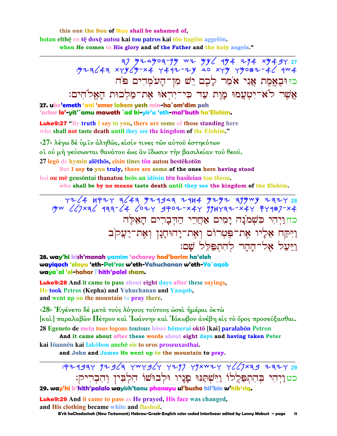this one the Son of Man shall be ashamed of. hotan elthē en tē doxē autou kai tou patros kai tōn hagiōn aggelōn. when He comes in His glory and of the Father and the holy angels."

> כזוּבְאָמֶת אֲנִי אֹמֶר לַבֶם יֵשׁ מִן־הַעֹמְדִים פֹּה אֲשֶׁר לֹא־יִטְעֲמוּ מֲוֶת עַד כִּי־יִרְאוּ אֶת־מַלְכוּת הַאֱלֹהִים:

27. ube'emeth 'ani 'omer lakem yesh min-ha`om'dim poh 'asher lo'-yit'`amu maweth `ad ki-yir'u 'eth-mal'kuth ha'Elohim.

**Luke9:27** "By truth I say to you, there are some of those standing here who shall not taste death until they see the kingdom of the Elohim."

<27> λέγω δε ύμιν άληθώς, είσίν τινες των αύτου έστηκότων οϊ ού μή γεύσωνται θανάτου έως ἂν ἴδωσιν τήν βασιλείαν τοῦ θεοῦ. 27 legō de hymin alethos, eisin tines tōn autou hestekotōn

But I say to you truly, there are some of the ones here having stood hoi ou mē geusōntai thanatou heōs an idōsin tēn basileian tou theou.

who shall be by no means taste death until they see the kingdom of the Elohim.

YZ 4 HPIY 3643 YI1943 ZHA YIYI 379WY I3IY 28<br>YW 667×36 133-4 627 9P02-x4Y YYHY3I-x4Y 77987-x4 כחויהי כשמנה ימים אחרי ההברים האלה וַיִּקַח אֵלָיו אֶת־פִּטְרוֹס וְאֶת־יָהוּחָנָן וְאִת־יַעֲקֹב ויעל אל־ההר להתפלל שם:

28. way'hi kish'monah yamim 'acharey had'barim ha'eleh wayiqach 'elayu 'eth-Pet'ros w'eth-Yahuchanan w'eth-Ya`aqob waya`al 'el-hahar l'hith'palel sham.

**Luke9:28** And it came to pass about eight days after these sayings, He took Petros (Kepha) and Yahuchanan and Yaaqob, and went up on the mountain to pray there.

<28> Έγένετο δέ μετά τους λόγους τούτους ώσει ημέραι όκτώ [και ] παραλαβών Πέτρον και 'Ιωάννην και 'Ιάκωβον ανέβη είς το όρος προσεύξασθαι. 28 Egeneto de meta tous logous toutous hosei hemerai okto [kai] paralabon Petron

And it came about after these words about eight days and having taken Peter kai Iōannēn kai lakōbon anebē eis to oros proseuxasthai.

and John and James He went up to the mountain to pray.

: 924934 12963 4WY964 4217 41xW24 4667x39 2324 23 כט וַיְהִי בְּהִתְפַּלֲלוֹ וַיִּשְׁתַּנּוּ פָנֵיו וּלְבוּשׁוֹ הִלְבִין וְהִבְרִיק: 29. way'hi b'hith'palalo wayish'tanu phanayu ul'busho hil'bin w'hib'riq.

**Luke9:29** And it came to pass as He prayed, His face was changed, and His clothing became white and flashed.

B'rit haChadashah (New Testament) Hebrew-Greek-English color coded Interlinear edited by Lanny Mebust - page 11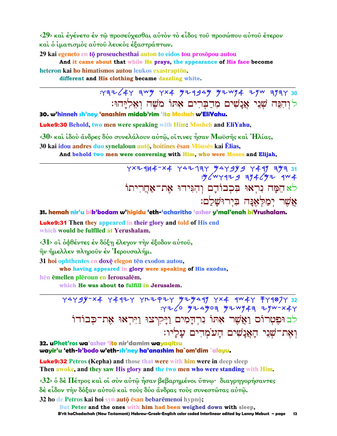<29> και έγένετο έν τω προσεύχεσθαι αυτόν το είδος του προσώπου αυτου έτερον και ο ίματισμός αύτου λευκός έξαστράπτων.

29 kai egeneto en tō proseuchesthai auton to eidos tou prosōpou autou

And it came about that while He prays, the appearance of His face become heteron kai ho himatismos autou leukos exastraptōn.

different and His clothing became dazzling white.

 $7732/47$  awy  $7x4$  yz 4949 yz wy + zyw ayay 30 לוהנה שני אנשים מדברים אתו משה ואליהו:

30. w'hinneh sh'ney 'anashim midab'rim 'ito Mosheh w'EliYahu.

**Luke9:30** Behold, two men were speaking with Him: Mosheh and EliYahu,

 $\langle 30 \rangle$  και ίδου άνδρες δύο συνελάλουν αύτ $\hat{\omega}$ , οΐτινες ήσαν Μωϋσής και 'Ηλίας,

30 kai idou andres duo synelaloun autō, hoitines ēsan Mōusēs kai Ēlias,

And behold two men were conversing with Him, who were Moses and Elijah,

 $Y^{\times}$  +  $944 - X4$   $Y^{\Delta}$  +  $19Y$   $Y^{\Delta}$  +  $9Y$   $9$  +  $49'$   $107$   $31$ : y / w y q z = 9 3 y + / y z q w + לא הַמַּה נִרְאוּ בִּכְבוֹדָם וְהִגִּידוּ אָת־אַחֲרִיתוֹ אֲשֶׁר יִמַקִּ'אָנַּה בִיִרוּשָׁלַם:

31. hemah nir'u bik'bodam w'higidu 'eth-'acharitho 'asher y'mal'enah biYrushalam.

**Luke9:31** Then they appeared in their glory and told of His end which would be fulflled at Yerushalam.

<31> οϊ όφθέντες έν δόξη έλεγον την έξοδον αύτου,

ην ήμελλεν πληρούν έν Ίερουσαλήμ.

31 hoi ophthentes en doxe elegon ten exodon autou,

who having appeared in glory were speaking of His exodus,

hēn ēmellen plēroun en Ierousalēm.

which He was about to fulfill in Jerusalem.

74794-24 74437 74242 42444 74244 7444 7444<br>744-44 7444 7444 7446 7446 לב וּפֵטְרוֹם וַאֲשֶׁר אָתוֹ נִרְדָמִים וַיָּקִיצוּ וַיִּרְאוּ אֶת־כְּבוֹדוֹ וְאֶת־שָׁנִי הָאֲנָשִׁים הָעֹמְדִים עָלַיו:

32. uPhet'ros wa'asher 'ito nir'damim wayagitsu wayir'u 'eth-k'bodo w'eth-sh'ney ha'anashim ha`om'dim `alayu.

**Luke9:32** Petros (Kepha) and those that were with him were in deep sleep Then awoke, and they saw His glory and the two men who were standing with Him.

 $\langle 32 \rangle$  δ δέ Πέτρος και οι συν αύτω ήσαν βεβαρημένοι ύπνω· διαγρηγορήσαντες δέ εἶδον τὴν δόξαν αὐτοῦ καὶ τοὺς δύο ἄνδρας τοὺς συνεστῶτας αὐτῷ.

32 ho de Petros kai hoi syn auto esan bebaremenoi hypno;

But Peter and the ones with him had been weighed down with sleep, B'rit haChadashah (New Testament) Hebrew-Greek-English color coded Interlinear edited by Lanny Mebust – page  $12$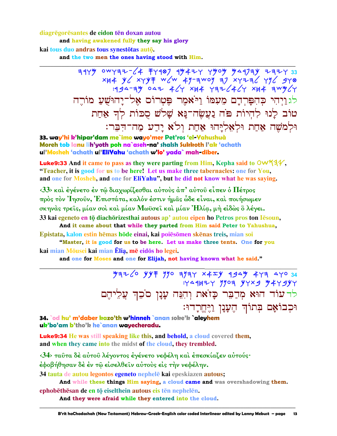diagrēgorēsantes de eidon tēn doxan autou

and having awakened fully they say his glory

kai tous duo andras tous synestōtas autō.

and the two men the ones having stood with Him.

 $7479 000797-64 7799 99477 7909 994799 777733$   $79479$   $796$   $796$   $79747$   $796$   $79747$   $796$   $79747$   $799479$   $799477$   $799477$   $799477$   $799477$   $799477$   $799477$   $799477$   $799477$   $799477$   $799477$   $799477$   $799477$ לגויהי כהפרדם מעמו ויאמר פטרוס אל־יהושע מורה טוֹב לַנוּ לְהִיוֹת פֹּה נַעֲשֶׂה־נַא שָׁלֹשׁ סָכּוֹת לְדְ אַחַת וּלְמֹשֶׁה אֲחֲת וּלְאֶלְיַּהוּ אֲחַת וְלֹא יַדֵע מַה־הִבֵּר:

33. way'hi k'hipar'dam me`imo wayo'mer Pet'ros 'el-Yahushuà Moreh tob lanu lih'yoth poh na`aseh-na' shalsh Sukkoth l'ak 'achath ul'Mosheh 'achath ul'EliYahu 'achath w'lo' yada` mah-diber.

**Luke9:33** And it came to pass as they were parting from Him, Kepha said to  $\text{OW44}\},$ "Teacher, it is good for us to be here! Let us make three tabernacles: one for You, and one for Mosheh, and one for EliYahu", but he did not know what he was saying.

 $\langle 33 \rangle$  και έγένετο έν τω διαχωρίζεσθαι αύτους άπ' αύτου είπεν ο Πέτρος πρός τον Ήησουν, Έπιστάτα, καλόν έστιν ήμας ώδε είναι, και ποιήσωμεν σκηνάς τρείς, μίαν σοι και μίαν Μωϋσει και μίαν Ήλία, μή είδως ο λέγει.

33 kai egeneto en tō diachōrizesthai autous ap' autou eipen ho Petros pros ton Iēsoun, And it came about that while they parted from Him said Peter to Yahushua,

Epistata, kalon estin hēmas hōde einai, kai poiesōmen skēnas treis, mian soi "Master, it is good for us to be here. Let us make three tents. One for you

kai mian Mōusei kai mian Ēlia, mē eidōs ho legei.

and one for Moses and one for Elijah, not having known what he said."

 $\frac{1}{2}$   $\frac{1}{2}$   $\frac{1}{2}$   $\frac{1}{2}$   $\frac{1}{2}$   $\frac{1}{2}$   $\frac{1}{2}$   $\frac{1}{2}$   $\frac{1}{2}$   $\frac{1}{2}$   $\frac{1}{2}$   $\frac{1}{2}$   $\frac{1}{2}$   $\frac{1}{2}$   $\frac{1}{2}$   $\frac{1}{2}$   $\frac{1}{2}$   $\frac{1}{2}$   $\frac{1}{2}$   $\frac{1}{2}$   $\frac{1}{2}$   $\frac{1}{2}$  לר עוֹד הוּא מִדַבֵּר כָּזֹאת וְהִנֵּה עָנָן סֹכֵךְ עֲלֵיהֵם וּכִבוֹאָם בְּתוֹךְ הֶעֲנָן וַיֶּחֱרָדוּ:

34. od hu' m'daber kazo'th w'hinneh `anan soke'k `aleyhem uk'bo'am b'tho'k he`anan wavecheradu.

**Luke9:34** He was still speaking like this, and behold, a cloud covered them, and when they came into the midst of the cloud, they trembled.

<34> ταῦτα δέ αὐτοῦ λέγοντος ἐγένετο νεφέλη καὶ ἐπεσκίαζεν αὐτούς· έφοβήθησαν δέ έν τω είσελθείν αύτους είς την νεφέλην.

34 tauta de autou legontos egeneto nephelē kai epeskiazen autous;

And while these things Him saying, a cloud came and was overshadowing them.

ephobēthēsan de en tō eiselthein autous eis tēn nephelēn. And they were afraid while they entered into the cloud.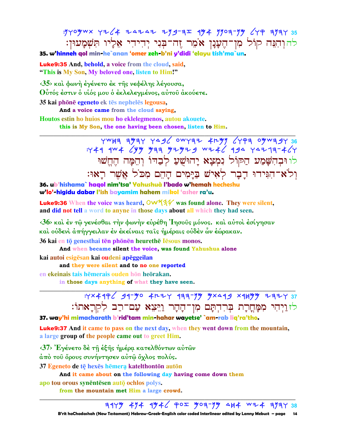: yyoywx yz (4 ZAZAZ ZYS- 3I 494 YYO 3-YY (YP 3YAY 35 להוְהִבֵּה קוֹל מְן־הֵעֲנָן אֹמֵר זֶה־בִּנִי יִהִיהִי אֵלְיו תִּשְׁמָעוּן:

35. w'hinneh qol min-he`anan 'omer zeh-b'ni y'didi 'elayu tish'ma`un.

**Luke9:35** And, behold, a voice from the cloud, said, "This is My Son, My beloved one, listen to Him!"

<35> και φωνή έγένετο έκ της νεφέλης λέγουσα, Ούτός έστιν ο υίός μου ο έκλελεγμένος, αύτου άκούετε.

35 kai phōnē egeneto ek tēs nephelēs legousa,

And a voice came from the cloud saying,

Houtos estin ho huios mou ho eklelegmenos, autou akouete.

this is My Son, the one having been chosen, listen to Him.

 $\frac{1}{12}$  BE YEEW YO FPY YASU JEYWO SEPY YANG SEPY YE THE FROW THE YARDER לו וּבְהִשַּׁמַע הַקּוֹל נִמְצָא יַהוּשָׁעַ לִבְדּוֹ וְהֵמַּה הֵחֵשׁוּ וְלֹא־הִגִּידוּ דַבָר לְאִישׁ בַּיַּמִים הַהֵם מִכֹּל אֲשֶׁר רַאוּ:

36. ub'hishama` hagol nim'tsa' Yahushuà l'bado w'hemah hecheshu w'lo'-higidu dabar l'ish bayamim hahem mikol 'asher ra'u.

**Luke9:36** When the voice was heard,  $\frac{OW44}{\sqrt{3}}$  was found alone. They were silent, and did not tell a word to any ne in those days about all which they had seen.

<36> και έν τω γενέσθαι την φωνην ευρέθη 'Iησους μόνος, και αύτοι έσίγησαν καὶ οὐδενὶ ἀπήγγειλαν ἐν ἐκείναις ταῖς ἡμέραις οὐδὲν ὧν ἑώρακαν.

36 kai en tō genesthai tēn phōnēn heurethē lēsous monos.

And when became silent the voice, was found Yahushua alone kai autoi esigēsan kai oudeni apēggeilan

and they were silent and to no one reported

en ekeinais tais hēmerais ouden hōn heōrakan.

in those days anything of what they have seen.



37. way'hi mimacharath b'rid'tam min-hahar wayetse' `am-rab liq'ra'tho.

**Luke9:37** And it came to pass on the next day, when they went down from the mountain, a large group of the people came out to greet Him.

<37> Έγένετο δε τη εξης ημέρα κατελθόντων αυτών

άπὸ τοῦ ὄρους συνήντησεν αὐτῷ ὄχλος πολύς.

37 Egeneto de tē hexēs hēmera katelthontōn autōn

And it came about on the following day having come down them

apo tou orous synentesen auto ochlos polys.

from the mountain met Him a large crowd.

 $747\%$  474  $4\%$   $4\%$   $90$   $90$   $9\%$   $4\%$   $8\%$   $1\%$   $1\%$   $1\%$   $1\%$   $1\%$   $1\%$   $1\%$   $1\%$   $1\%$   $1\%$   $1\%$   $1\%$   $1\%$   $1\%$   $1\%$   $1\$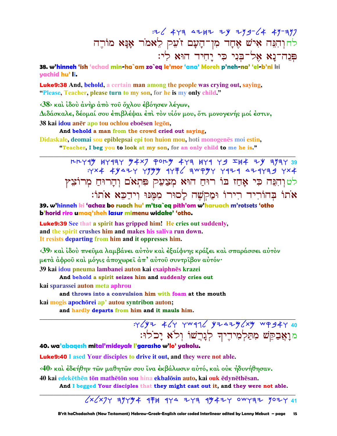汉 443 4242 24 299-64 49-397 לחוְהִבֵּה אִישׁ אֶחָד מִן־הָעָם זֹעֵק לֵאמֹר אַנַּא מוֹרֵה פִּנְה־נַא אָל־בּני כּי יַחיד הוּא לי:

38. w'hinneh 'ish 'echad min-ha`am zo`eg le'mor 'ana' Moreh p'neh-na' 'el-b'ni ki vachid hu'li.

**Luke9:38** And, behold, a certain man among the people was crying out, saying, "Please, Teacher, please turn to my son, for he is my only child."

 $\langle 38 \rangle$  και ίδου άνηρ άπο του όχλου έβόησεν λέγων, Διδάσκαλε, δέομαί σου έπιβλέψαι έπὶ τὸν υἱόν μου, ὅτι μονογενής μοί ἐστιν, 38 kai idou anēr apo tou ochlou eboēsen legōn,

### And behold a man from the crowd cried out saying,

Didaskale, deomai sou epiblepsai epi ton huion mou, hoti monogenes moi estin,

"Teacher, I beg you to look at my son, for an only child to me he is."

 $H+Y4$  4 4444  $Y4X$   $P0+Y4Y$  444 444 444 444 444 444 444  $Y \times 4$  4  $Y \times 7$   $Y \times 9$   $Y \times 6$   $Y \times 7$   $Y \times 7$   $Y \times 8$   $Y \times 1$   $Y \times 1$   $Y \times 1$   $Y \times 1$   $Y \times 1$   $Y \times 1$   $Y \times 1$   $Y \times 1$   $Y \times 1$   $Y \times 1$   $Y \times 1$   $Y \times 1$   $Y \times 1$   $Y \times 1$   $Y \times 1$   $Y \times 1$   $Y \times 1$   $Y \times 1$   $Y \times 1$   $Y \times 1$   $Y \$ לטוָהְנֶה כִּי אֲחַז בּוֹ רוּחַ הוּא מְצַעֵק פִּתְאֹם וְהָרוּחַ מִרוֹצֵץ אֹתוֹ בְּהוֹרִיד רִירוֹ וּמַקִשָּׁה לָסוּר מִמְּנּוּ וִידַכֵּא אֹתוֹ:

39. w'hinneh ki 'achaz bo ruach hu' m'tsa`eq pith'om w'haruach m'rotsets 'otho b'horid riro umaa'sheh lasur mimenu widake' 'otho.

**Luke9:39** See that a spirit has gripped him! He cries out suddenly, and the spirit crushes him and makes his saliva run down. It resists departing from him and it oppresses him.

<39> και ίδου πνεύμα λαμβάνει αύτον και έξαίφνης κράζει και σπαράσσει αύτον μετὰ ἀφροῦ καὶ μόγις ἀποχωρεῖ ἀπ' αὐτοῦ συντρῖβον αὐτόν·

39 kai idou pneuma lambanei auton kai exaiphnēs krazei

And behold a spirit seizes him and suddenly cries out

kai sparassei auton meta aphrou

and throws into a convulsion him with foam at the mouth

kai mogis apochōrei ap' autou syntribon auton;

and hardly departs from him and it mauls him.

:Y (YZ 4 GY YW97 GYZAZY (XY WP 94Y 40 מואַבְקֵשׁ מִתַּלְמִידֵיךְ לְנֵרֵשׁוֹ וְלֹא יַכֹלוּ:

### 40. wa'abaqesh mital'mideyak l'garasho w'lo' yakolu.

**Luke9:40** I ased Your disciples to drive it out, and they were not able.

<40> καὶ ἐδεήθην τῶν μαθητῶν σου ἵνα ἐκβάλωσιν αὐτό, καὶ οὐκ ἠδυνήθησαν.

40 kai edekēthēn tōn mathētōn sou hina ekbalōsin auto, kai ouk ēdynēthēsan.

And I begged Your disciples that they might cast out it, and they were not able.

### $\frac{1}{2}$  x  $\frac{1}{2}$   $\frac{1}{2}$   $\frac{1}{2}$   $\frac{1}{2}$   $\frac{1}{2}$   $\frac{1}{2}$   $\frac{1}{2}$   $\frac{1}{2}$   $\frac{1}{2}$   $\frac{1}{2}$   $\frac{1}{2}$   $\frac{1}{2}$   $\frac{1}{2}$   $\frac{1}{2}$   $\frac{1}{2}$   $\frac{1}{2}$   $\frac{1}{2}$   $\frac{1}{2}$   $\frac{1}{2}$   $\frac{1}{2}$   $\frac{1}{2}$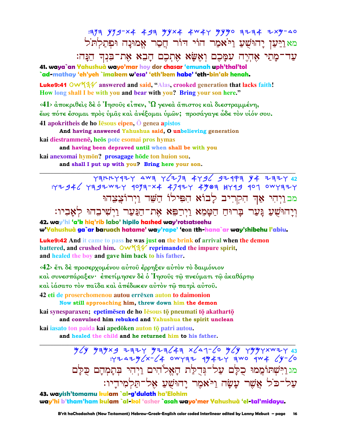:373 Y79-X4 493 YYX4 4W4Y YYYO 3Z34 ZXY-△0 מא וַיַּעַן יָהוּשָׁעַ וַיֹּ**א**מַר הוֹי דוֹר חֲסַר אֵמוּנַה וּפִתַלְתֹּל עַד־מַתַי אֲהָיֵה עִמַּכֵם וְאֵשָׂא אֶתְכֶם הָבֶא אֶת־בִּנְךָ הֵנָּה:

41. waya`an Yahushuà wayo'mar hoy dor chasar 'emunah uph'thal'tol `ad-mathay 'eh'yeh `imakem w'esa' 'eth'kem habe' 'eth-bin'ak henah.

**Luke9:41** OW $44\%$  answered and said, "Alas, crooked generation that lacks faith! How long shall I be with you and bear with you? Bring your son here."

 $\langle 41 \rangle$  άποκριθείς δέ ο Ίησους είπεν,  $\Omega$  γενεά άπιστος και διεστραμμένη, έως πότε έσομαι πρός ύμας και ανέξομαι ύμων; προσάγαγε ώδε τον υίόν σου. 41 apokritheis de ho Iesous eipen, O genea apistos

And having answered Yahushua said, O unbelieving generation

kai diestrammenē, heos pote esomai pros hymas

and having been depraved until when shall be with you

kai anexomai hymōn? prosagage hōde ton huion sou.

and shall I put up with you? Bring here your son.

 $Y377747$  AW3  $Y67734796$  32193 44 2324 42 : 42946 7392 44 47424 47424 4903 4749 407 047327 מבוַיִהִי אַדְ הִקְרִיב לָבוֹא הִפִּילוֹ הַשָּׁד וַיִרוֹצֲצֵהוּ

וְיָהוּשֻׁעַ גָּעַר בְּרוּחַ הַטָּמֵא וַיִרַפִּא אֶת־הַנַּעַר וַיִּשִׁיבִהוּ לִאַבִיו: 42. way'hi 'a'k hia'rib labo' hipilo hashed way'rotsatseehu

w'Yahushuà ga`ar baruach hatame' way'rape' 'eon tth-hana`ar way'shibehu l'abiu.

**Luke9:42** And it came to pass he was just on the brink of arrival when the demon battered, and crushed him.  $\mathsf{OWXAY}$  reprimanded the impure spirit, and healed the boy and gave him back to his father.

<42> έτι δέ προσερχομένου αύτου έρρηξεν αύτον το δαιμόνιον καὶ συνεσπάραξεν· ἐπετίμησεν δὲ ὁ Ἰησοῦς τῶ πνεύματι τῶ ἀκαθάρτω καὶ ἰάσατο τὸν παῖδα καὶ ἀπέδωκεν αὐτὸν τῶ πατρὶ αὐτοῦ.

42 eti de proserchomenou autou errēxen auton to daimonion Now still approaching him, threw down him the demon

kai synesparaxen; epetimēsen de ho lēsous tō pneumati tō akathartō and convulsed him rebuked and Yahushua the spirit unclean

kai jasato ton paida kai apedōken auton tō patri autou.

and healed the child and he returned him to his father.

מגוַיִּשְׁתּוֹמֲמוּ כֻלַּם עַל־גִּדְלַת הָאֵלֹהִים וַיִהִי בִּתַמְהַם כִּלַּם עֲל־כֹל אֱשֶׁר עֲשַׂה וַיֹּאמֶר יַהוּשָׁעַ אָל־תַּלְמִידֵיו:

43. wayish'tomamu kulam `al-g'dulath ha'Elohim way'hi b'tham'ham kulam `al-kol 'asher `asah wayo'mer Yahushuà 'el-tal'midavu.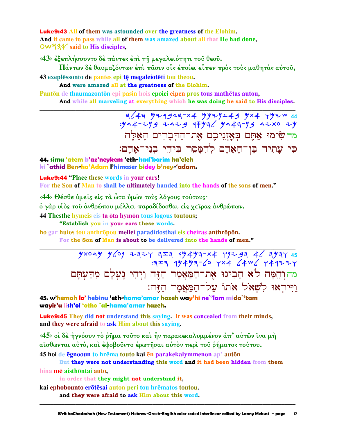**Luke9:43 All of them was astounded over the greatness of the Elohim.** And it came to pass while all of them was amazed about all that He had done,  $\overline{OW\overline{Q}}$  said to His disciples,

<43> έξεπλήσσοντο δέ πάντες έπι τη μεγαλειότητι του θεου.

Πάντων δέ θαυμαζόντων έπι πασιν οίς έποίει είπεν προς τους μαθητάς αυτου, 43 exeplessonto de pantes epi te megaleioteti tou theou.

And were amazed all at the greatness of the Elohim.

Pantōn de thaumazontōn epi pasin hois epoiei eipen pros tous mathētas autou, And while all marveling at everything which he was doing he said to His disciples.

> = = 3643 4x4 44343-x4 44 44544 44<br>- 344-34 4544 4544 4544 444-444 4444 מד שימוּ אַתֵּם בְאָזְנֵיכֶם אֶת־הַדְּבָרִים הַאָּלֶה כִּי עֲתִיד בֵּן־הָאֲדָם לְהִמָּסֵר בִּידֵי בְנֵי־אָדָם:

44. simu 'atem b'az'neykem 'eth-had'barim ha'eleh ki `athid Ben-ha'Adam l'himaser bidey b'ney-'adam.

**Luke9:44 "Place these words in your ears!** 

For the Son of Man to shall be ultimately handed into the hands of the sons of men."

<44> Θέσθε ύμεις είς τα ώτα ύμων τους λόγους τούτους·

δ γάρ υίδς του άνθρώπου μέλλει παραδίδοσθαι είς χειρας άνθρώπων.

44 Thesthe hymeis eis ta ōta hymōn tous logous toutous;

"Establish you in your ears these words.

ho gar huios tou anthropou mellei paradidosthai eis cheiras anthropon.

For the Son of Man is about to be delivered into the hands of men."

 $\frac{1}{2}$   $\frac{1}{2}$   $\frac{1}{2}$   $\frac{1}{2}$   $\frac{1}{2}$   $\frac{1}{2}$   $\frac{1}{2}$   $\frac{1}{2}$   $\frac{1}{2}$   $\frac{1}{2}$   $\frac{1}{2}$   $\frac{1}{2}$   $\frac{1}{2}$   $\frac{1}{2}$   $\frac{1}{2}$   $\frac{1}{2}$   $\frac{1}{2}$   $\frac{1}{2}$   $\frac{1}{2}$   $\frac{1}{2}$   $\frac{1}{2}$   $\frac{1}{2}$   $777$  49494-6 4x4 4x4 444274 מהוְהֵמָה לֹא הֵבִינוּ אֶת־הַמַּאֲמָר הַזֶּה וַיִּהִי נִעִלַם מִדַּעִתַּם וייראו לשאל אתו על־המאמר הזה:

45. w'hemah lo' hebinu 'eth-hama'amar hazeh way'hi ne`'lam mida`'tam wayir'u lish'ol 'otho `al-hama'amar hazeh.

**Luke9:45** They did not understand this saying. It was concealed from their minds, and they were afraid to ask Him about this saying.

 $\langle 45 \rangle$  οί δέ ήγνόουν τὸ ρημα τούτο και ήν παρακεκαλυμμένον άπ' αυτών ίνα μή αΐσθωνται αύτό, και έφοβοῦντο έρωτῆσαι αὐτὸν περι τοῦ ρήματος τούτου. 45 hoi de egnooun to hrema touto kai en parakekalymmenon ap' auton

But they were not understanding this word and it had been hidden from them hina mē aisthōntai auto.

in order that they might not understand it,

kai ephobounto erōtēsai auton peri tou hrēmatos toutou.

and they were afraid to ask Him about this word.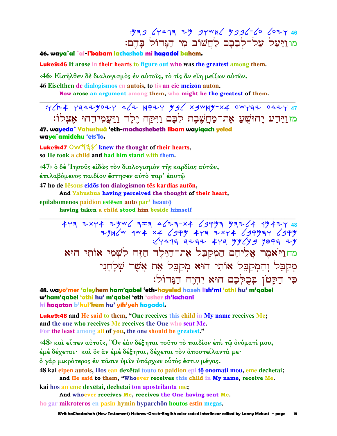## : 979 64477 74 94WH6 9996-60 6074 46 מו וַיַּעֲל עֲל־לִבָבָם לַחֲשׁוֹב מִי הַגֲדוֹל בַּהֵם:

#### 46. waya`al `al-l'babam lachashob mi hagadol bahem.

**Luke9:46** It arose in their hearts to figure out who was the greatest among them.

<46> Είσηλθεν δέ διαλογισμός έν αύτοις, τό τίς αν είη μείζων αύτων.

46 Eiselthen de dialogismos en autois, to tis an eie meizon auton.

Now arose an argument among them, who might be the greatest of them.

:Y/H4 Y347407Y 4/7 HP7Y 49/ x3WH4-X4 0WY37 047Y 47 <u>מזוּיִדְע יַהוּשָׁעַ אָת־מַחֲשֶׁבֶת לְבָם וַיִּקַח יֵלֵד וַיַּעֲמְידֵהוּ אָצְלוֹ:</u>

47. wayeda` Yahushuà 'eth-machashebeth libam wayiqach yeled waya`amidehu 'ets'lo.

**Luke9:47 OW 43** knew the thought of their hearts, so He took a child and had him stand with them.

<47> ὁ δὲ Ἰησοῦς εἰδὼς τὸν διαλογισμὸν τῆς καρδίας αὐτῶν, έπιλαβόμενος παιδίον έστησεν αύτὸ παρ' έαυτῷ 47 ho de lesous eidos ton dialogismon tes kardias auton,

And Yahushua having perceived the thought of their heart,

epilabomenos paidion estesen auto par' heauto

having taken a child stood him beside himself

 $473$  2xy4 2yw  $474$  4/23-x4  $499$  732/4 9742y 48  $774$ מחוליאמֶר אֲלִיהֶם הַמְקַבֵּל אֶת־הַיֶּלֶד הַזֶּה לְשָׁמִי אוֹתִי הוּא מִקַבִּל וְהַמְקַבִּל אוֹתִי הוּא מִקַבִּל אֶת אֲשֶׁר שִׁלַחֲנִי כִּי הַקַּטֹן בִּכְלִּכֶם הוּא יִהְיֵה הַנֵּדוֹל:

48. wayo'mer 'aleyhem ham'qabel 'eth-hayeled hazeh lish'mi 'othi hu' m'qabel w'ham'aabel 'othi hu' m'aabel 'eth 'asher sh'lachani ki haqaton b'kul'kem hu' yih'yeh hagadol.

**Luke9:48** and He said to them, "One receives this child in My name receives Me; and the one who receives Me receives the One who sent Me. For the least among all of you, the one should be greatest."

<48> και είπεν αύτοις, "Os έαν δέξηται τούτο το παιδίον έπι τω ονόματί μου, έμέ δέχεται· καί ὃς ἂν έμέ δέξηται, δέχεται τον αποστείλαντά με· ό γάρ μικρότερος έν πασιν ύμιν ύπάρχων οὗτός έστιν μέγας.

48 kai eipen autois. Hos ean dexetai touto to paidion epi tō onomati mou, eme dechetai;

and He said to them, "Whoever receives this child in My name, receive Me. kai hos an eme dexētai, dechetai ton aposteilanta me:

And whoever receives Me, receives the One having sent Me. ho gar mikroteros en pasin hymin hyparchōn houtos estin megas.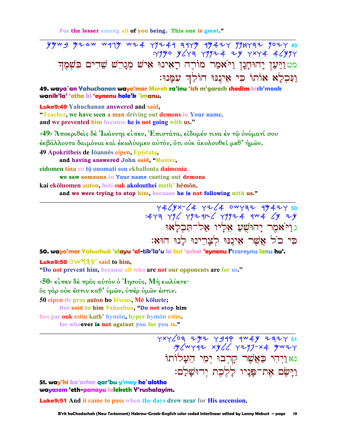For the lesser among all of you being. This one is great."

מטוַיַּעַן יָהוּחָנָן וַיֹּאמַר מוֹרֶה רָאִינוּ אִישׁ מְגָרֵשׁ שֵׁדִים בִּשְׁמֶךְ וַנִּכְלָא אוֹתוֹ כִּי אֵינֵנּוּ הוֹלֵךְ עִמֲנוּ:

49. waya`an Yahuchanan wayo'mar Moreh ra'inu 'ish m'garesh shedim bish'meak wanik'la' 'otho ki 'evneny hole'k `imany.

**Luke9:49** Yahuchanan answered and said, "Teacher, we have seen a man driving out demons in Your name. and we prevented him because he is not going with us."

<49> Άποκριθείς δέ Ιωάννης είπεν, Επιστάτα, είδομέν τινα έν τω ονόματί σου εκβάλλοντα δαιμόνια και εκωλύομεν αυτόν, ότι ουκ ακολουθεί μεθ' ήμων.

49 Apokritheis de Iōannēs eipen, Epistata,

and having answered John said, "Master,

eidomen tina en tō onomati sou ekballonta daimonia

we saw someone in Your name casting out demons

kai ekōluomen auton, hoti ouk akolouthei meth' hēmōn.

and we were trying to stop him, because he is not following with us."

 $Y46/Yx-74$   $Y76/4$  owyaz  $4\frac{4}{10}47$  50 נויאמר יהושע אליו אל־תִכְלָאוּ כִּי כֹל אֲשֶׁר אִינֵנּוּ לְצַרֵינוּ לַנוּ הוּא:

50. wayo'mer Yahushuà 'elayu 'al-tik'la'u ki kol 'asher 'eynenu l'tsareynu lanu hu'.

Luke9:50 OW534 said to him,

"Do not prevent him, because all who are not our opponents are for us."

 $\langle 50 \rangle$  είπεν δέ πρός αύτον ο 'Iησούς, Μή κωλύετε·

ὃς γάρ οὐκ ἔστιν καθ' ὑμῶν, ὑπέρ ὑμῶν ἐστιν.

50 eipen de pros auton ho Iēsous, Mē kōluete; But said to him Yahushua, "Do not stop him

hos gar ouk estin kath' hymōn, hyper hymōn estin. for whoever is not against you for you is."

> נאַוַיִהִי כַּאֲשֶׁר קַרְבוּ יִמֶי הֵעֲלוֹתוֹ וַיַּשָׂם אַת־פַּנֵיו לַלֶכֶת יְרוּשַׁלֵם:

51. way'hi ka'asher gar'bu y'mey he`alotho wayasem 'eth-panayu laleketh Y'rushalayim.

**Luke9:51** And it came to pass when the days drew near for His ascension,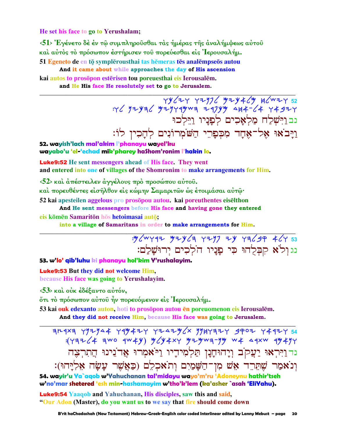He set his face to go to Yerushalam:

<51> Έγένετο δέ έν τώ συμπληρούσθαι τας ήμέρας της αναλήμψεως αύτου και αύτος το πρόσωπον έστήρισεν του πορεύεσθαι είς Ιερουσαλήμ.

51 Egeneto de en tō symplērousthai tas hēmeras tēs analēmpseōs autou And it came about while approaches the day of His ascension kai autos to prosopon esterisen tou poreuesthai eis Ierousalem.

and He His face He resolutely set to go to Jerusalem.

 $79647$  2774 32 34444 374464 44752<br>24 244 442 4444 44744 4444 4444 374 נב וַיִּשְׁלַח מַלְאָכִים לְפַנַיו וַיֵּלְכוּ וַיָּבֹאוּ אֶל־אֶחָד מִכְפָרֵי הַשֹּׁמְרוֹנִים לְהָכִין לוֹ:

52. wayish'lach mal'akim l'phanayu wayel'ku wayabo'u 'el-'echad mik'pharey haShom'ronim l'hakin lo.

**Luke9:52** He sent messengers ahead of His face. They went and entered into one of villages of the Shomronim to make arrangements for Him.

<52> και άπέστειλεν άγγέλους πρό προσώπου αύτου.

καὶ πορευθέντες εἰσῆλθον εἰς κώμην Σαμαριτῶν ὡς ἑτοιμάσαι αὐτῶ·

52 kai apesteilen aggelous pro prosopou autou, kai poreuthentes eiselthon

And He sent messengers before His face and having gone they entered

### eis kōmēn Samaritōn hōs hetoimasai autō;

into a village of Samaritans in order to make arrangements for Him.

: y / w y q = y z y / q x y = y = x y = x / y = 33 נגולֹא קִבְּלְהוּ כִּי פַנַיו הֹלִכִים ירוּשׁלם:

### 53. w'lo' qib'luhu ki phanayu hol'kim Y'rushalayim.

**Luke9:53** But they did not welcome Him, because His face was going to Yerushalayim.

<53> και ούκ έδέξαντο αυτόν,

ότι τὸ πρόσωπον αὐτοῦ ἦν πορευόμενον είς Ίερουσαλήμ.

53 kai ouk edexanto auton, hoti to prosopon autou en poreuomenon eis Ierousalem. And they did not receive Him, because His face was going to Jerusalem.

 $714487$   $797944$   $749447$   $77474$   $7747$   $7849$   $78497$   $7992$   $7447$   $754$  $:(\forall\exists\forall\angle\neq\exists$ WO  $\exists W\neq Y)$   $\forall f\neq x\forall$   $\forall f\neq y\forall x\exists\exists y\forall$   $W\neq\alpha\exists xW$   $\exists Y\neq Y\forall$ נד וַיִּרְאוּ יַעֲקֹב וְיָהוּחָנָן תַּלְמִידִיו וַיֹּאמִרוּ אֲדֹנִינוּ הַתִרְצֵה וְנֹאמַר שֶׁתֵּרֵד אֵשׁ מִן־הַשָּׁמַיִם וִתֹאכִלֵם (כַּאֲשֵׁר עַשַׂה אֵלְיַּהוּ):

54. wayir'u Ya`agob w'Yahuchanan tal'midayu wayo'm'ru 'Adoneynu hathir'tseh w'no'mar shetered 'esh min-hashamayim w'tho'k'lem (ka'asher `asah 'EliYahu).

**Luke9:54 Yaaqob and Yahuchanan, His disciples, saw this and said,** "Our Adon (Master), do you want us to we say that fire should come down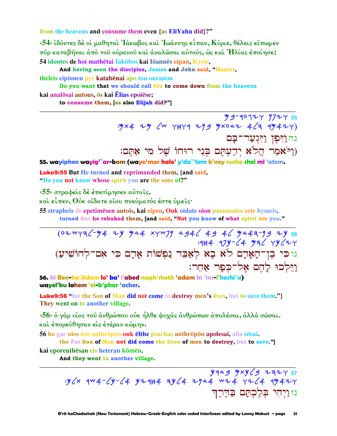from the heavens and consume them even {as EliYahu did}?"

 $\langle 54 \rangle$  ίδόντες δέ οι μαθηται Ιάκωβος και Ιωάννης είπαν, Κύριε, θέλεις εϊπωμεν πύρ καταβήναι άπό του ούρανου και άναλωσαι αύτούς, ως και Ήλίας έποίησε; 54 idontes de hoi mathētai Iakōbos kai Iōannēs eipan, Kyrie,

And having seen the disciples, James and John said, "Master,

theleis eipōmen pyr katabēnai apo tou ouranou

Do you want that we should call fire to come down from the heavens kai analosai autous, os kai Elias epoiese; to consume them, [as also Elijah did?"]

> **M9-40124 9724 55** : y x + = y  $\zeta$  +  $\zeta$  +  $\zeta$  +  $\zeta$  +  $\zeta$  +  $\zeta$  +  $\zeta$  +  $\zeta$  +  $\zeta$  +  $\zeta$  +  $\zeta$  +  $\zeta$  +  $\zeta$  +  $\zeta$  +  $\zeta$  +  $\zeta$  +  $\zeta$  +  $\zeta$  +  $\zeta$  +  $\zeta$  +  $\zeta$  +  $\zeta$  +  $\zeta$  +  $\zeta$  +  $\zeta$  +  $\zeta$  + נהוַיִּפְן וַיִּגְעַר־בָּם (וַיֹּאמַר הֲלֹֹא יְדַעְתֶּם בְּנֵי רוּחוֹ שֵׁל מִי אַתֵּם:

55. wayiphen wayig'`ar-bam (wayo'mar halo' y'da`'tem b'ney rucho shel mi 'atem.

**Luke9:55** But He turned and reprimanded them, {and said, "Do you not know whose spirit you are the sons of?"

<55> στραφείς δέ έπετίμησεν αύτοις,

καὶ εἶπεν, Οὐκ οἴδατε οἵου πνεύματός ἐστε ὑμεῖς·

55 strapheis de epetimesen autois, kai eipen. Ouk oidate oion pneumatos este hymeis.

turned But he rebuked them, [and said, "Not you know of what spirit are you."

(07WY36-44 ZY 44 XYW74 4946 49 46 4443-49 ZY 56  $1944$   $979 - 4$   $994$   $994$ .<br>נוכי בֶן־הָאָרָם לֹא בָא לְאַבֵּד נַפִּשׁוֹת אָרָם כִּי אִם־לְהוֹשִׁיעַ) <u>וי</u>ּלִכוּ לַהֵם אָל־כִּפָּר אַחֵר:

56. ki Ben-ha'Adam lo' ba' l'abed naph'shoth 'adam ki 'im-l'hoshi`a) wavel'ku lahem 'el-k'phar 'acher.

Luke9:56 "for the Son of Man did not come to destroy men's lives, but to save them."} They went on to another village.

<56> ο γάρ υίος του άνθρώπου ούκ ήλθε ψυχάς άνθρώπων άπολέσαι, άλλά σώσαι. και έπορεύθησαν είς έτέραν κώμην.

56 ho gar nios ton anthropon ouk elthe psuchas anthropon apolesai, alla sosai.

the For Son of Man not did come the lives of men to destroy, but to save."

kai eporeuthēsan eis heteran kōmēn.

And they went to another village.

נזניהי בִלֶכְתַּם בַּהֵרֵה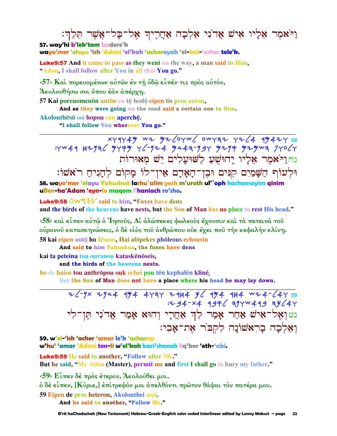# וַיֹּאמֶר אֵלְיו אִישׁ אֲדֹנִי אֵלְכָה אַחֲרֶיךָ אֶל־כָּל־אֲשֶׁר הֵלֶךְ:

57. way'hi b'lek'tam badere'k wayo'mer 'elayu 'ish 'Adoni 'el'kah 'achareyak 'el-kal-'asher tele'k.

**Luke9:57** And it came to pass as they went on the way, a man said to Him, "Adon, I shall follow after You in all that You go."

 $\langle 57 \rangle$  Και πορευομένων αύτων έν τη όδω είπέν τις προς αύτόν,

Άκολουθήσω σοι ὄπου έὰν ἀπέρχη.

57 Kai poreuomenon auton en te hodo eipen tis pros auton,

And as they were going on the road said a certain one to Him.

Akoloutheso soi hopou ean aperche. "I shall follow You wherever You go."

 $x + 4444$  wi  $y = 640$  over  $x + 1264$ : YW41 HZYAC YYPY YC-YZ4 YA4A-YSY YZYP YZYWA JYOCY נחוי אמר אליו יהושע לשועלים יש מאורות וּלְעוֹף הַשָּׁמַיִם קִנִּים וּבֶן־הָאָדָם אִין־לוֹ מָקוֹם לְהָנִיהַ רֹאֹשׁוֹ: 58. wayo'mer 'elayu Yahushuà lashu`alim yesh m'uroth ul'`oph hashamayim qinim uBen-ha'Adam 'eyn-lo maqom l'haniach ro'sho.

**Luke9:58 OW534** said to him. "Foxes have dens and the birds of the heavens have nests, but the Son of Man has no place to rest His head."

 $\langle 58 \rangle$  και είπεν αύτω ο 'Iησούς, Αι άλώπεκες φωλεούς έχουσιν και τα πετεινά του ούρανού κατασκηνώσεις, ό δέ υίος του άνθρώπου ούκ έχει που την κεφαλήν κλίνη. 58 kai eipen autō ho Iēsous, Hai alōpekes phōleous echousin

And said to him Yahushua, the foxes have dens

kai ta peteina tou ouranou kataskēnōseis.

and the birds of the heavens nests.

ho de huios tou anthrōpou ouk echei pou tēn kephalēn klinē.

But the Son of Man does not have a place where his head he may lay down.

נט וְאֶל־אִישׁ אַחֵר אָמַר לֵךְ אַחֲרָי וְהוּא אָמַר אֲדֹנִי תֵּן־לִי ואלכה בראשונה לקבר את־אבי:

59. w'el-'ish 'acher 'amar le'k 'acharav

w'hu' 'amar 'Adoni ten-li w'el'kah bari'shonah liq'bor 'eth-'abi.

**Luke9:59 He said to another, "Follow after Me."** 

But he said, "My Adon (Master), permit me and first I shall go to bury my father."

 $\langle 59 \rangle$  Είπεν δέ πρός έτερον, Άκολούθει μοι.

ό δέ είπεν, [Κύριε,] έπίτρεψόν μοι άπελθόντι πρώτον θάψαι τον πατέρα μου.

59 Eipen de pros heteron, Akolouthei moi.

And he said to another, "Follow Me."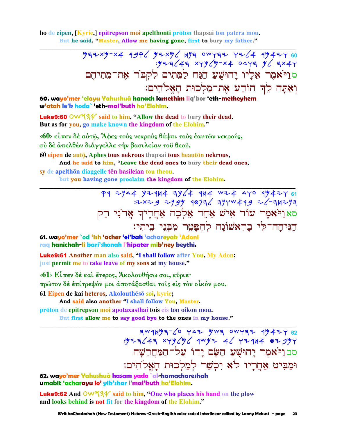ho de eipen, [Kyrie,] epitrepson moi apelthonti prōton thapsai ton patera mou. But he said, "Master, Allow me having gone, first to bury my father."

> $4972 \times 4976$   $4996$   $472 \times 46$   $493$  owraz  $726$   $4942$   $100$  $\frac{1}{2}y + \frac{1}{3}z + \frac{1}{3}x + \frac{1}{3}y + \frac{1}{3}z + \frac{1}{3}z + \frac{1}{3}z + \frac{1}{3}z + \frac{1}{3}z + \frac{1}{3}z + \frac{1}{3}z + \frac{1}{3}z + \frac{1}{3}z + \frac{1}{3}z + \frac{1}{3}z + \frac{1}{3}z + \frac{1}{3}z + \frac{1}{3}z + \frac{1}{3}z + \frac{1}{3}z + \frac{1}{3}z + \frac{1}{3}z + \frac{1}{3}z + \frac{1}{3}z + \frac{1$ סוַיֹּאמֶר אֶלְיו יָהוּשֻׁעַ הַנַּח לַמֵּתִים לִקִבּוֹר אֶת־מֵתִיהֵם וְאַתַּה לֵךְ הוֹדֵע אֶת־מַלְכוּת הַאֱלֹהִים:

60. wayo'mer 'elayu Yahushuà hanach lamethim lig'bor 'eth-metheyhem w'atah le'k hoda` 'eth-mal'kuth ha'Elohim.

**Luke9:60** OW  $4\frac{1}{4}$  said to him, "Allow the dead to bury their dead. But as for you, go make known the kingdom of the Elohim."

 $\langle 60 \rangle$  είπεν δέ αύτ $\hat{\omega}$ , Άφες τους νεκρους θάψαι τους έαυτ $\hat{\omega}$ ν νεκρούς, σὺ δέ ἀπελθών διάγγελλε την βασιλείαν τοῦ θεοῦ.

60 eipen de autō, Aphes tous nekrous thapsai tous heautōn nekrous,

And he said to him, "Leave the dead ones to bury their dead ones,

sy de apelthōn diaggelle tēn basileian tou theou. but you having gone proclaim the kingdom of the Elohim.

> P1 = 1/4 + V= 144 = 1/6 + 144 = 144 + 144 = 144 = 144 = 144 + 144 = 144 + 144 + 144 + 144 + 144 + 144 + 144 + 1 סאַנייֹאמֶר עוֹד אִישׁ אַחֵר אֵלְכָה אַחֲרֵיךְ אַד<sup>ֹ</sup>נִי רַק הניחה־לי בראשונה להפטר מבני ביתי:

61. wayo'mer `od 'ish 'acher 'el'kah 'achareyak 'Adoni raq hanichah-li bari'shonah l'hipater mib'ney beythi.

**Luke9:61** Another man also said, "I shall follow after You, My Adon; just permit me to take leave of my sons at my house."

 $\langle 61 \rangle$  Είπεν δέ και έτερος, Άκολουθήσω σοι, κύριε·

πρώτον δέ έπίτρεψόν μοι άποτάξασθαι τους είς τον οίκόν μου.

61 Eipen de kai heteros, Akolouthēsō soi, kyrie;

And said also another "I shall follow You, Master.

prōton de epitrepson moi apotaxasthai tois eis ton oikon mou. But first allow me to say good bye to the ones in my house."

> סב וַיֹּאמִר יָהוּשָׁעַ הַשָּׂם יָדוֹ עַל־הַמַּחֵרֵשַׁה וּמַבִּיט אַחֲרֵיו לֹא יִכְשַׁר לִמְלְכוּת הַאֲלֹהִים:

62. wayo'mer Yahushuà hasam yado `al-hamachareshah umabit 'acharayu lo' yik'shar I'mal'kuth ha'Elohim.

**Luke9:62** And  $\overline{O}W^2/2$  said to him, "One who places his hand on the plow and looks behind is not fit for the kingdom of the Elohim."